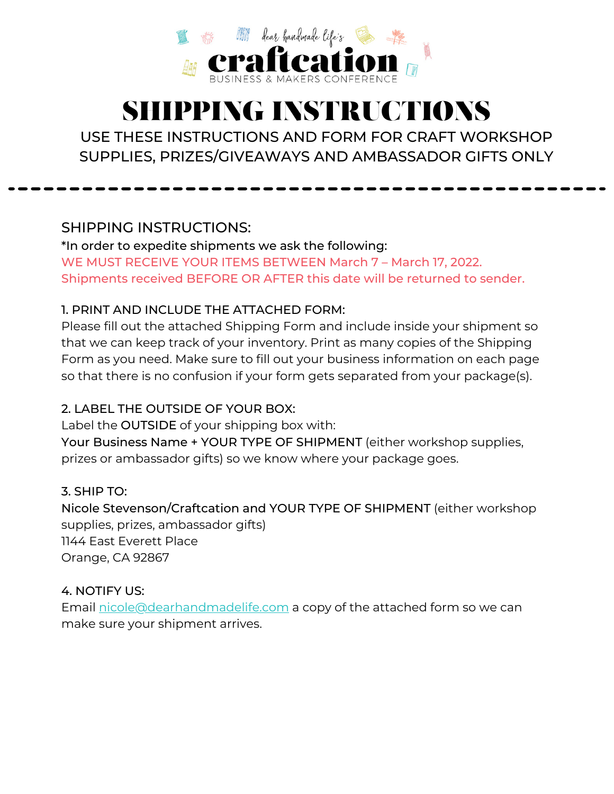

## SHIPPING INSTRUCTIONS

USE THESE INSTRUCTIONS AND FORM FOR CRAFT WORKSHOP SUPPLIES, PRIZES/GIVEAWAYS AND AMBASSADOR GIFTS ONLY

SHIPPING INSTRUCTIONS:

\*In order to expedite shipments we ask the following: WE MUST RECEIVE YOUR ITEMS BETWEEN March 7 – March 17, 2022. Shipments received BEFORE OR AFTER this date will be returned to sender.

#### 1. PRINT AND INCLUDE THE ATTACHED FORM:

Please fill out the attached Shipping Form and include inside your shipment so that we can keep track of your inventory. Print as many copies of the Shipping Form as you need. Make sure to fill out your business information on each page so that there is no confusion if your form gets separated from your package(s).

#### 2. LABEL THE OUTSIDE OF YOUR BOX:

Label the OUTSIDE of your shipping box with: Your Business Name + YOUR TYPE OF SHIPMENT (either workshop supplies, prizes or ambassador gifts) so we know where your package goes.

#### 3. SHIP TO:

Nicole Stevenson/Craftcation and YOUR TYPE OF SHIPMENT (either workshop supplies, prizes, ambassador gifts) 1144 East Everett Place Orange, CA 92867

#### 4. NOTIFY US:

Email [nicole@dearhandmadelife.com](mailto:nicole@dearhandmadelife.com) a copy of the attached form so we can make sure your shipment arrives.